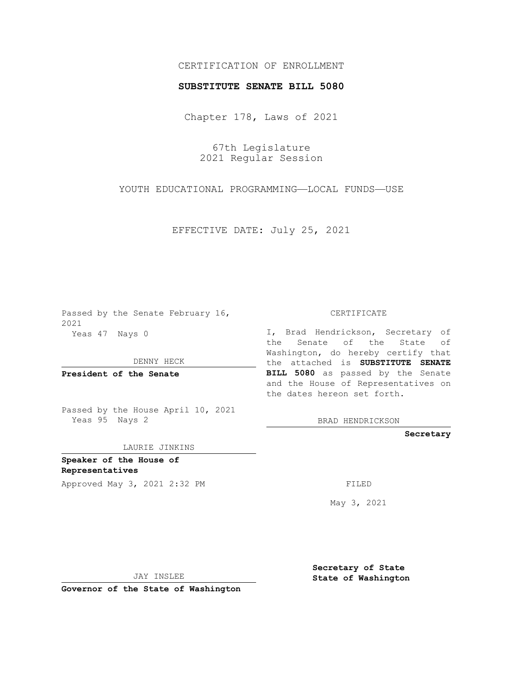## CERTIFICATION OF ENROLLMENT

## **SUBSTITUTE SENATE BILL 5080**

Chapter 178, Laws of 2021

67th Legislature 2021 Regular Session

YOUTH EDUCATIONAL PROGRAMMING—LOCAL FUNDS—USE

EFFECTIVE DATE: July 25, 2021

Passed by the Senate February 16, 2021 Yeas 47 Nays 0

DENNY HECK

**President of the Senate**

Passed by the House April 10, 2021 Yeas 95 Nays 2

LAURIE JINKINS

**Speaker of the House of Representatives**

Approved May 3, 2021 2:32 PM

CERTIFICATE

I, Brad Hendrickson, Secretary of the Senate of the State of Washington, do hereby certify that the attached is **SUBSTITUTE SENATE BILL 5080** as passed by the Senate and the House of Representatives on the dates hereon set forth.

BRAD HENDRICKSON

**Secretary**

May 3, 2021

JAY INSLEE

**Governor of the State of Washington**

**Secretary of State State of Washington**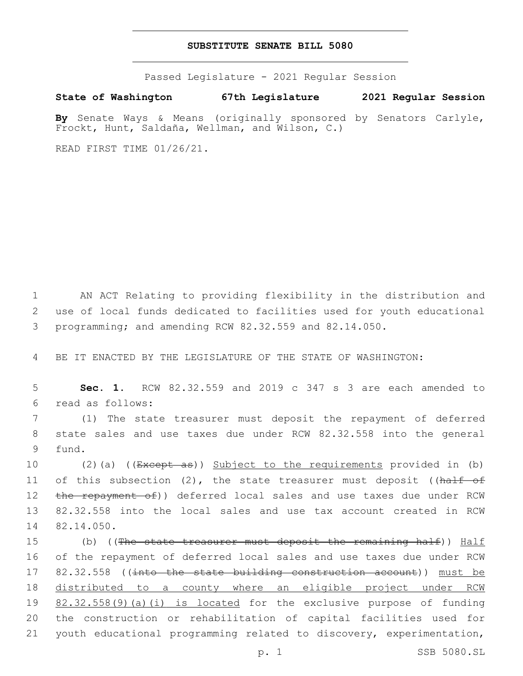## **SUBSTITUTE SENATE BILL 5080**

Passed Legislature - 2021 Regular Session

**State of Washington 67th Legislature 2021 Regular Session**

**By** Senate Ways & Means (originally sponsored by Senators Carlyle, Frockt, Hunt, Saldaña, Wellman, and Wilson, C.)

READ FIRST TIME 01/26/21.

1 AN ACT Relating to providing flexibility in the distribution and 2 use of local funds dedicated to facilities used for youth educational 3 programming; and amending RCW 82.32.559 and 82.14.050.

4 BE IT ENACTED BY THE LEGISLATURE OF THE STATE OF WASHINGTON:

5 **Sec. 1.** RCW 82.32.559 and 2019 c 347 s 3 are each amended to read as follows:6

7 (1) The state treasurer must deposit the repayment of deferred 8 state sales and use taxes due under RCW 82.32.558 into the general 9 fund.

10 (2)(a) ((Except as)) Subject to the requirements provided in (b) 11 of this subsection (2), the state treasurer must deposit ((half of 12 the repayment of)) deferred local sales and use taxes due under RCW 13 82.32.558 into the local sales and use tax account created in RCW 14 82.14.050.

15 (b) ((The state treasurer must deposit the remaining half)) Half 16 of the repayment of deferred local sales and use taxes due under RCW 17 82.32.558 ((into the state building construction account)) must be 18 distributed to a county where an eligible project under RCW 19 82.32.558(9)(a)(i) is located for the exclusive purpose of funding 20 the construction or rehabilitation of capital facilities used for 21 youth educational programming related to discovery, experimentation,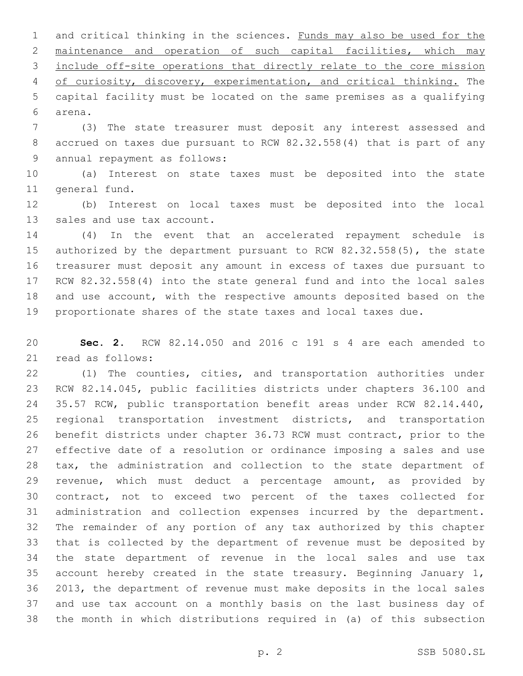1 and critical thinking in the sciences. Funds may also be used for the maintenance and operation of such capital facilities, which may include off-site operations that directly relate to the core mission of curiosity, discovery, experimentation, and critical thinking. The capital facility must be located on the same premises as a qualifying arena.6

 (3) The state treasurer must deposit any interest assessed and accrued on taxes due pursuant to RCW 82.32.558(4) that is part of any 9 annual repayment as follows:

 (a) Interest on state taxes must be deposited into the state 11 general fund.

 (b) Interest on local taxes must be deposited into the local 13 sales and use tax account.

 (4) In the event that an accelerated repayment schedule is authorized by the department pursuant to RCW 82.32.558(5), the state treasurer must deposit any amount in excess of taxes due pursuant to RCW 82.32.558(4) into the state general fund and into the local sales and use account, with the respective amounts deposited based on the proportionate shares of the state taxes and local taxes due.

 **Sec. 2.** RCW 82.14.050 and 2016 c 191 s 4 are each amended to 21 read as follows:

 (1) The counties, cities, and transportation authorities under RCW 82.14.045, public facilities districts under chapters 36.100 and 35.57 RCW, public transportation benefit areas under RCW 82.14.440, regional transportation investment districts, and transportation benefit districts under chapter 36.73 RCW must contract, prior to the effective date of a resolution or ordinance imposing a sales and use tax, the administration and collection to the state department of revenue, which must deduct a percentage amount, as provided by contract, not to exceed two percent of the taxes collected for administration and collection expenses incurred by the department. The remainder of any portion of any tax authorized by this chapter that is collected by the department of revenue must be deposited by the state department of revenue in the local sales and use tax account hereby created in the state treasury. Beginning January 1, 2013, the department of revenue must make deposits in the local sales and use tax account on a monthly basis on the last business day of the month in which distributions required in (a) of this subsection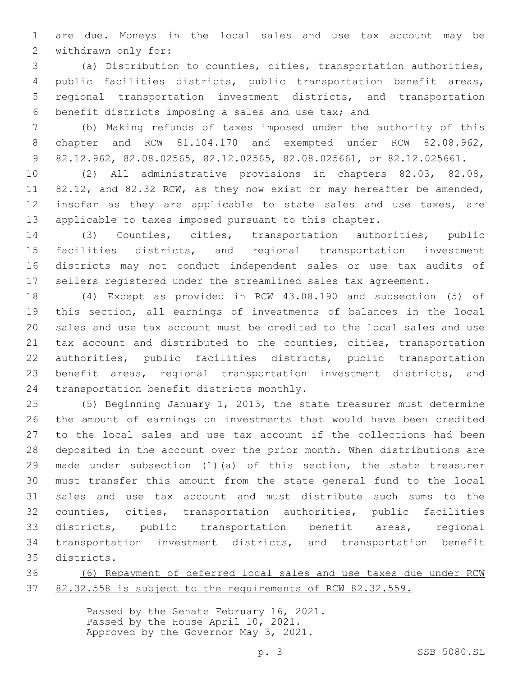are due. Moneys in the local sales and use tax account may be 2 withdrawn only for:

 (a) Distribution to counties, cities, transportation authorities, public facilities districts, public transportation benefit areas, regional transportation investment districts, and transportation benefit districts imposing a sales and use tax; and

 (b) Making refunds of taxes imposed under the authority of this chapter and RCW 81.104.170 and exempted under RCW 82.08.962, 82.12.962, 82.08.02565, 82.12.02565, 82.08.025661, or 82.12.025661.

 (2) All administrative provisions in chapters 82.03, 82.08, 11 82.12, and 82.32 RCW, as they now exist or may hereafter be amended, 12 insofar as they are applicable to state sales and use taxes, are applicable to taxes imposed pursuant to this chapter.

 (3) Counties, cities, transportation authorities, public facilities districts, and regional transportation investment districts may not conduct independent sales or use tax audits of sellers registered under the streamlined sales tax agreement.

 (4) Except as provided in RCW 43.08.190 and subsection (5) of this section, all earnings of investments of balances in the local sales and use tax account must be credited to the local sales and use tax account and distributed to the counties, cities, transportation authorities, public facilities districts, public transportation benefit areas, regional transportation investment districts, and 24 transportation benefit districts monthly.

 (5) Beginning January 1, 2013, the state treasurer must determine the amount of earnings on investments that would have been credited to the local sales and use tax account if the collections had been deposited in the account over the prior month. When distributions are made under subsection (1)(a) of this section, the state treasurer must transfer this amount from the state general fund to the local sales and use tax account and must distribute such sums to the counties, cities, transportation authorities, public facilities districts, public transportation benefit areas, regional transportation investment districts, and transportation benefit districts.35

 (6) Repayment of deferred local sales and use taxes due under RCW 82.32.558 is subject to the requirements of RCW 82.32.559.

> Passed by the Senate February 16, 2021. Passed by the House April 10, 2021. Approved by the Governor May 3, 2021.